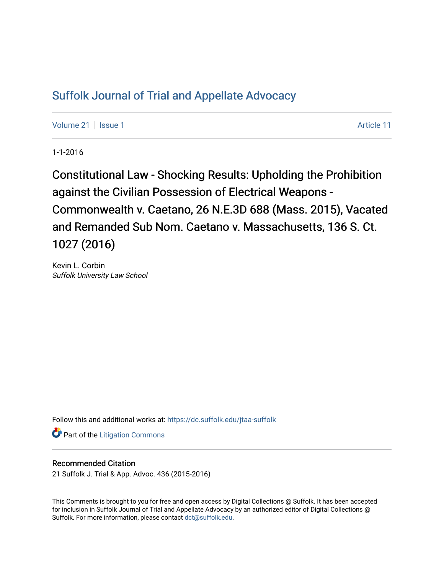## [Suffolk Journal of Trial and Appellate Advocacy](https://dc.suffolk.edu/jtaa-suffolk)

[Volume 21](https://dc.suffolk.edu/jtaa-suffolk/vol21) | [Issue 1](https://dc.suffolk.edu/jtaa-suffolk/vol21/iss1) Article 11

1-1-2016

Constitutional Law - Shocking Results: Upholding the Prohibition against the Civilian Possession of Electrical Weapons - Commonwealth v. Caetano, 26 N.E.3D 688 (Mass. 2015), Vacated and Remanded Sub Nom. Caetano v. Massachusetts, 136 S. Ct. 1027 (2016)

Kevin L. Corbin Suffolk University Law School

Follow this and additional works at: [https://dc.suffolk.edu/jtaa-suffolk](https://dc.suffolk.edu/jtaa-suffolk?utm_source=dc.suffolk.edu%2Fjtaa-suffolk%2Fvol21%2Fiss1%2F11&utm_medium=PDF&utm_campaign=PDFCoverPages) 

**Part of the [Litigation Commons](https://network.bepress.com/hgg/discipline/910?utm_source=dc.suffolk.edu%2Fjtaa-suffolk%2Fvol21%2Fiss1%2F11&utm_medium=PDF&utm_campaign=PDFCoverPages)** 

## Recommended Citation

21 Suffolk J. Trial & App. Advoc. 436 (2015-2016)

This Comments is brought to you for free and open access by Digital Collections @ Suffolk. It has been accepted for inclusion in Suffolk Journal of Trial and Appellate Advocacy by an authorized editor of Digital Collections @ Suffolk. For more information, please contact [dct@suffolk.edu.](mailto:dct@suffolk.edu)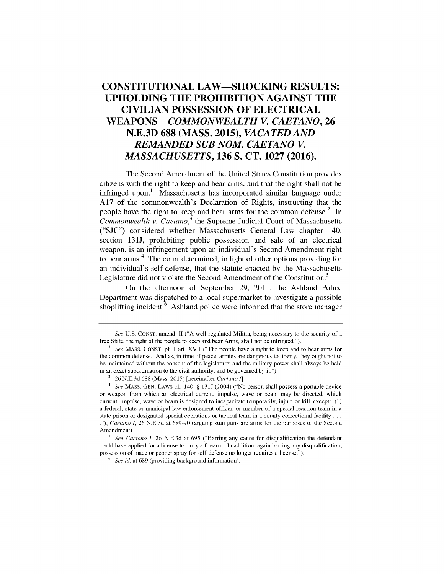## **CONSTITUTIONAL LAW-SHOCKING RESULTS: UPHOLDING THE PROHIBITION AGAINST THE CIVILIAN POSSESSION OF ELECTRICAL** *WEAPONS-COMMONWEALTH V. CAETANO,* **26 N.E.3D 688 (MASS. 2015),** *VACATED AND REMANDED SUB NOM. CAETANO V. MASSACHUSETTS,* **136 S. CT. 1027 (2016).**

The Second Amendment of the United States Constitution provides citizens with the right to keep and bear arms, and that the right shall not be infringed upon.<sup>1</sup> Massachusetts has incorporated similar language under **A17** of the commonwealth's Declaration of Rights, instructing that the people have the right to keep and bear arms for the common defense.<sup>2</sup> In *Commonwealth v. Caetano*<sup>3</sup> the Supreme Judicial Court of Massachusetts **("SJC")** considered whether Massachusetts General Law chapter 140, section 131J, prohibiting public possession and sale of an electrical weapon, is an infringement upon an individual's Second Amendment right to bear arms.<sup>4</sup> The court determined, in light of other options providing for an individual's self-defense, that the statute enacted by the Massachusetts Legislature did not violate the Second Amendment of the Constitution.<sup>5</sup>

On the afternoon of September 29, 2011, the Ashland Police Department was dispatched to a local supermarket to investigate a possible shoplifting incident.<sup>6</sup> Ashland police were informed that the store manager

<sup>&</sup>lt;sup>1</sup> *See U.S. CONST. amend. II ("A well regulated Militia, being necessary to the security of a* free State, the right of the people to keep and bear Arms, shall not be infringed.").

<sup>2</sup> *See* MAss. CONST. pt. 1 art. XVII ("The people have a right to keep and to bear arms for the common defense. And as, in time of peace, armies are dangerous to liberty, they ought not to be maintained without the consent of the legislature; and the military power shall always be held in an exact subordination to the civil authority, and be governed by it.").

**<sup>3</sup>**26 N.E.3d 688 (Mass. 2015) [hereinafter *Caetano I].*

*<sup>4</sup> See* MASS. GEN. LAWS ch. 140, § 131J (2004) ("No person shall possess a portable device or weapon from which an electrical current, impulse, wave or beam may be directed, which current, impulse, wave or beam is designed to incapacitate temporarily, injure or kill, except: (1) a federal, state or municipal law enforcement officer, or member of a special reaction team in a state prison or designated special operations or tactical team in a county correctional facility **...** *."); Caetano 1,* 26 N.E.3d at 689-90 (arguing stun guns are arms for the purposes of the Second Amendment).

<sup>&</sup>lt;sup>5</sup> See Caetano I, 26 N.E.3d at 695 ("Barring any cause for disqualification the defendant could have applied for a license to carry a firearm. In addition, again barring any disqualification, possession of mace or pepper spray for self-defense no longer requires a license.").

*<sup>6</sup> See id.* at 689 (providing background information).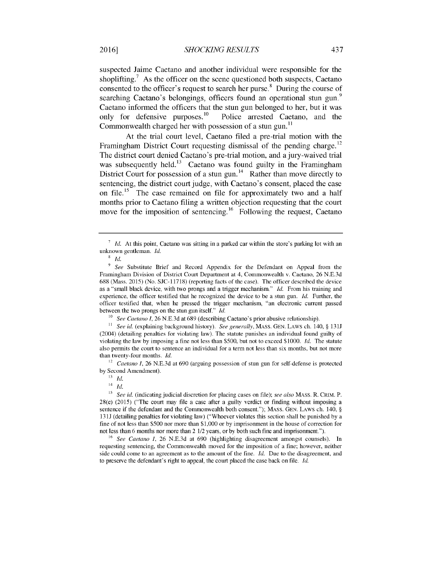suspected Jaime Caetano and another individual were responsible for the shoplifting.<sup>7</sup> As the officer on the scene questioned both suspects, Caetano consented to the officer's request to search her purse. $8$  During the course of searching Caetano's belongings, officers found an operational stun gun.<sup>9</sup> Caetano informed the officers that the stun gun belonged to her, but it was only for defensive purposes.<sup>10</sup> Police arrested Caetano, and the Commonwealth charged her with possession of a stun gun.<sup>11</sup>

At the trial court level, Caetano filed a pre-trial motion with the Framingham District Court requesting dismissal of the pending charge.<sup>12</sup> The district court denied Caetano's pre-trial motion, and a jury-waived trial was subsequently held.<sup>13</sup> Caetano was found guilty in the Framingham District Court for possession of a stun gun.<sup>14</sup> Rather than move directly to sentencing, the district court judge, with Caetano's consent, placed the case on file.<sup>15</sup> The case remained on file for approximately two and a half months prior to Caetano filing a written objection requesting that the court move for the imposition of sentencing.<sup>16</sup> Following the request, Caetano

*10 See Caetano 1,* 26 N.E.3d at 689 (describing Caetano's prior abusive relationship).

<sup>11</sup> *See id.* (explaining background history). *See generally*, MASS. GEN. LAWS ch. 140, § 131J (2004) (detailing penalties for violating law). The statute punishes an individual found guilty of violating the law by imposing a fine not less than \$500, but not to exceed \$1000. *Id.* The statute also permits the court to sentence an individual for a term not less than six months, but not more than twenty-four months. *Id.*

<sup>12</sup> Caetano I, 26 N.E.3d at 690 (arguing possession of stun gun for self-defense is protected by Second Amendment).

<sup>14</sup>*id.*

<sup>15</sup>*See id.* (indicating judicial discretion for placing cases on file); *see also* MAss. R. CRIM. P. 28(e) (2015) ("The court may file a case after a guilty verdict or finding without imposing a sentence if the defendant and the Commonwealth both consent."); MASS. GEN. LAWS ch. 140, § 13 1J (detailing penalties for violating law) ("Whoever violates this section shall be punished by a fine of not less than \$500 nor more than \$1,000 or by imprisonment in the house of correction for not less than 6 months nor more than 2 1/2 years, or by both such fine and imprisonment.").

*<sup>16</sup>See Caetano 1,* 26 N.E.3d at 690 (highlighting disagreement amongst counsels). In requesting sentencing, the Commonwealth moved for the imposition of a fine; however, neither side could come to an agreement as to the amount of the fine. *d.* Due to the disagreement, and to preserve the defendant's right to appeal, the court placed the case back on file. *Id.*

<sup>&</sup>lt;sup>7</sup>*Id.* At this point, Caetano was sitting in a parked car within the store's parking lot with an unknown gentleman. *Id.*

**<sup>8</sup>** *Id.*

<sup>&</sup>lt;sup>9</sup> See Substitute Brief and Record Appendix for the Defendant on Appeal from the Framingham Division of District Court Department at 4, Commonwealth v. Caetano, 26 N.E.3d 688 (Mass. 2015) (No. SJC- 11718) (reporting facts of the case). The officer described the device as a "small black device, with two prongs and a trigger mechanism." *ILd.* From his training and experience, the officer testified that he recognized the device to be a stun gun. *Id.* Further, the officer testified that, when he pressed the trigger mechanism, "an electronic current passed between the two prongs on the stun gun itself." *Id.*

<sup>13</sup> *id.*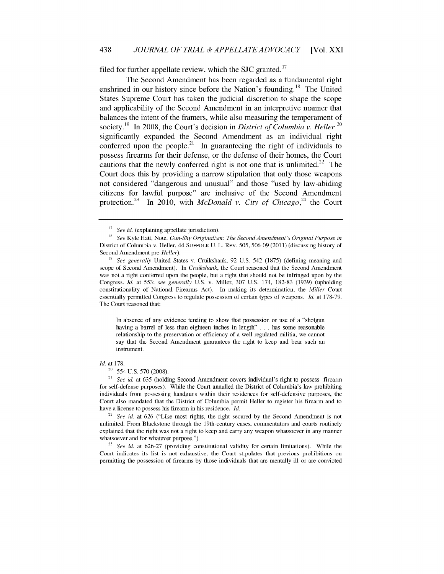filed for further appellate review, which the SJC granted. **<sup>1</sup> 7**

The Second Amendment has been regarded as a fundamental right enshrined in our history since before the Nation's founding.<sup>18</sup> The United States Supreme Court has taken the judicial discretion to shape the scope and applicability of the Second Amendment in an interpretive manner that balances the intent of the framers, while also measuring the temperament of society.<sup>19</sup> In 2008, the Court's decision in *District of Columbia v. Heller* <sup>20</sup> significantly expanded the Second Amendment as an individual right conferred upon the people.<sup>21</sup> In guaranteeing the right of individuals to possess firearms for their defense, or the defense of their homes, the Court cautions that the newly conferred right is not one that is unlimited.<sup>22</sup> The Court does this by providing a narrow stipulation that only those weapons not considered "dangerous and unusual" and those "used by law-abiding citizens for lawful purpose" are inclusive of the Second Amendment protection.<sup>23</sup> In 2010, with *McDonald v. City of Chicago*,<sup>24</sup> the Court

In absence of any evidence tending to show that possession or use of a "shotgun having a barrel of less than eighteen inches in length" . **.** . has some reasonable relationship to the preservation or efficiency of a well regulated militia, we cannot say that the Second Amendment guarantees the right to keep and bear such an instrument.

## *Id.* at 178.

<sup>21</sup> See id. at 635 (holding Second Amendment covers individual's right to possess firearm for self-defense purposes). While the Court annulled the District of Columbia's law prohibiting individuals from possessing handguns within their residences for self-defensive purposes, the Court also mandated that the District of Columbia permit Heller to register his firearm and to have a license to possess his firearm in his residence. *Id.*

<sup>22</sup> See id. at 626 ("Like most rights, the right secured by the Second Amendment is not unlimited. From Blackstone through the 19th-century cases, commentators and courts routinely explained that the right was not a right to keep and carry any weapon whatsoever in any manner whatsoever and for whatever purpose.").

**<sup>23</sup>***See id.* at 626-27 (providing constitutional validity for certain limitations). While the Court indicates its list is not exhaustive, the Court stipulates that previous prohibitions on permitting the possession of firearms by those individuals that are mentally ill or are convicted

**<sup>17</sup>***See id.* (explaining appellate jurisdiction).

*<sup>18</sup> See* Kyle Hatt, Note, Gun-Shy *Originalism: The Second Amendment's Original Purpose in* District of Columbia v. Heller, 44 SUFFOLK U. L. REv. 505, 506-09 (2011) (discussing history of Second Amendment *pre-Heller).*

*<sup>19</sup> See generally* United States v. Cruikshank, 92 U.S. 542 (1875) (defining meaning and scope of Second Amendment). In *Cruikshank,* the Court reasoned that the Second Amendment was not a right conferred upon the people, but a right that should not be infringed upon by the Congress. *Id.* at 553; *see generally* U.S. v. Miller, 307 U.S. 174, 182-83 (1939) (upholding constitutionality of National Firearms Act). In making its determination, the *Miller* Court essentially permitted Congress to regulate possession of certain types of weapons. *Id.* at 178-79. The Court reasoned that:

 $20$  554 U.S. 570 (2008).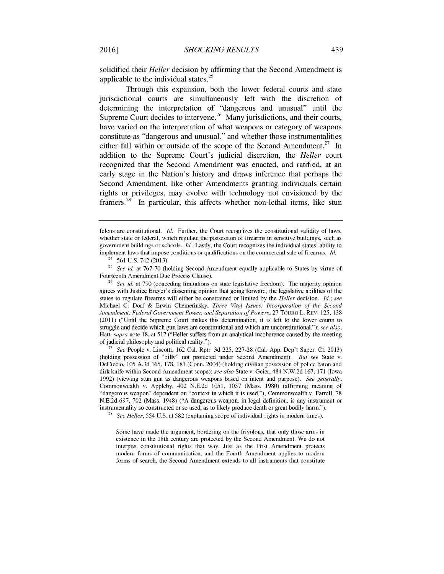solidified their *Heller* decision by affirming that the Second Amendment is applicable to the individual states.<sup>25</sup>

Through this expansion, both the lower federal courts and state jurisdictional courts are simultaneously left with the discretion of determining the interpretation of "dangerous and unusual" until the Supreme Court decides to intervene.<sup>26</sup> Many jurisdictions, and their courts, have varied on the interpretation of what weapons or category of weapons constitute as "dangerous and unusual," and whether those instrumentalities either fall within or outside of the scope of the Second Amendment.<sup>27</sup> In addition to the Supreme Court's judicial discretion, the *Heller* court recognized that the Second Amendment was enacted, and ratified, at an early stage in the Nation's history and draws inference that perhaps the Second Amendment, like other Amendments granting individuals certain rights or privileges, may evolve with technology not envisioned by the framers.<sup>28</sup> In particular, this affects whether non-lethal items, like stun

**<sup>27</sup>***See* People v. Liscotti, 162 Cal. Rptr. 3d 225, 227-28 (Cal. App. Dep't Super. Ct. 2013) (holding possession of "billy" not protected under Second Amendment). *But see* State v. DeCiccio, 105 A.3d 165, 178, 181 (Conn. 2004) (holding civilian possession of police baton and dirk knife within Second Amendment scope); *see also* State v. Geier, 484 N.W.2d 167, 171 (Iowa 1992) (viewing stun gun as dangerous weapons based on intent and purpose). *See generally,* Commonwealth v. Appleby, 402 N.E.2d 1051, 1057 (Mass. 1980) (affirming meaning of "dangerous weapon" dependent on "context in which it is used."); Commonwealth v. Farrell, 78 N.E.2d 697, 702 (Mass. 1948) ("A dangerous weapon, in legal definition, is any instrument or instrumentality so constructed or so used, as to likely produce death or great bodily harm.").

<sup>28</sup> See Heller, 554 U.S. at 582 (explaining scope of individual rights in modern times).

Some have made the argument, bordering on the frivolous, that only those arms in existence in the 18th century are protected by the Second Amendment. We do not interpret constitutional rights that way. Just as the First Amendment protects modern forms of communication, and the Fourth Amendment applies to modern forms of search, the Second Amendment extends to all instruments that constitute

felons are constitutional. *ld.* Further, the Court recognizes the constitutional validity of laws, whether state or federal, which regulate the possession of firearms in sensitive buildings, such as government buildings or schools. *ld.* Lastly, the Court recognizes the individual states' ability to implement laws that impose conditions or qualifications on the commercial sale of firearms. *ld.*

 $24$  561 U.S. 742 (2013).

**<sup>25</sup>** *See id.* at 767-70 (holding Second Amendment equally applicable to States by virtue of Fourteenth Amendment Due Process Clause).

**<sup>26</sup>***See id.* at 790 (conceding limitations on state legislative freedom). The majority opinion agrees with Justice Breyer's dissenting opinion that going forward, the legislative abilities of the states to regulate firearms will either be constrained or limited by the *Heller* decision. *Id.; see* Michael C. Dorf & Erwin Chemerinsky, *Three Vital Issues: Incorporation of the Second Amendment, Federal Government Power, and Separation of Powers,* 27 TOURO L. REv. 125, 138 (2011) ("Until the Supreme Court makes this determination, it is left to the lower courts to struggle and decide which gun laws are constitutional and which are unconstitutional."); *see also,* Hatt, *supra* note 18, at 517 ("Heller suffers from an analytical incoherence caused by the meeting of judicial philosophy and political reality.").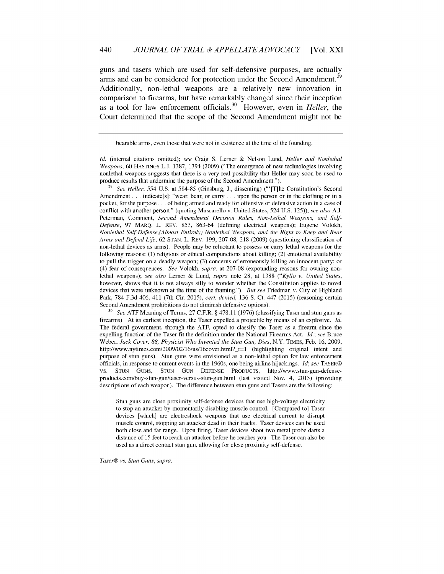guns and tasers which are used for self-defensive purposes, are actually arms and can be considered for protection under the Second Amendment.<sup>29</sup> Additionally, non-lethal weapons are a relatively new innovation in comparison to firearms, but have remarkably changed since their inception as a tool for law enforcement officials.30 However, even in *Heller,* the Court determined that the scope of the Second Amendment might not be

<sup>29</sup>*See Heller,* 554 U.S. at 584-85 (Ginsburg, J., dissenting) ("'[T]he Constitution's Second Amendment ... indicate[s]: "wear, bear, or carry **...** upon the person or in the clothing or in a pocket, for the purpose... of being armed and ready for offensive or defensive action in a case of conflict with another person." (quoting Muscarello v. United States, 524 U.S. 125)); *see also* A.J. Peterman, Comment, *Second Amendment Decision Rules, Non-Lethal Weapons, and Self-Defense,* 97 MARQ. L. REV. 853, 863-64 (defining electrical weapons); Eugene Volokh, *Nonlethal Self-Defense,(Almost Entirely) Nonlethal Weapons, and the Right to Keep and Bear Arms and Defend Life,* 62 STAN. L. REV. 199, 207-08, 218 (2009) (questioning classification of non-lethal devices as arms). People may be reluctant to possess or carry lethal weapons for the following reasons: (1) religious or ethical compunctions about killing; (2) emotional availability to pull the trigger on a deadly weapon; (3) concerns of erroneously killing an innocent party; or (4) fear of consequences. *See* Volokh, *supra,* at 207-08 (expounding reasons for owning nonlethal weapons); *see also* Lerner & Lund, *supra* note 28, at 1388 *("Kyllo v. United States,* however, shows that it is not always silly to wonder whether the Constitution applies to novel devices that were unknown at the time of the framing."). *But see* Friedman v. City of Highland Park, 784 F.3d 406, 411 (7th Cir. 2015), *cert. denied,* 136 **S.** Ct. 447 (2015) (reasoning certain Second Amendment prohibitions do not diminish defensive options).

**<sup>30</sup>***See* **ATF** Meaning of Terms, 27 C.F.R. § 478.11 (1976) (classifying Taser and stun guns as firearms). At its earliest inception, the Taser expelled a projectile by means of an explosive. *Id.* The federal government, through the ATF, opted to classify the Taser as a firearm since the expelling function of the Taser fit the definition under the National Firearms Act. *Id.; see* Bruce Weber, *Jack Cover, 88, Physicist Who Invented the Stun Gun, Dies,* N.Y. TIMES, Feb. 16, 2009, http://www.nytimes.com/2009/02/16/us/16cover.html? r=1 (highlighting original intent and purpose of stun guns). Stun guns were envisioned as a non-lethal option for law enforcement officials, in response to current events in the 1960s, one being airline hijackings. *Id; see* TASER® VS. STUN GUNS, STUN GUN DEFENSE PRODUCTS, http://www.stun-gun-defenseproducts.com/buy-stun-gun/taser-versus-stun-gun.html (last visited Nov. 4, 2015) (providing descriptions of each weapon). The difference between stun guns and Tasers are the following:

Stun guns are close proximity self-defense devices that use high-voltage electricity to stop an attacker by momentarily disabling muscle control. [Compared to] Taser devices [which] are electroshock weapons that use electrical current to disrupt muscle control, stopping an attacker dead in their tracks. Taser devices can be used both close and far range. Upon firing, Taser devices shoot two metal probe darts a distance of 15 feet to reach an attacker before he reaches you. The Taser can also be used as a direct contact stun gun, allowing for close proximity self-defense.

*Taser® vs. Stun Guns, supra.*

bearable arms, even those that were not in existence at the time of the founding.

Id. (internal citations omitted); *see* Craig S. Lerner & Nelson Lund, *Heller and Nonlethal Weapons,* 60 HASTINGS L.J. 1387, 1394 (2009) ("The emergence of new technologies involving nonlethal weapons suggests that there is a very real possibility that Heller may soon be used to produce results that undermine the purpose of the Second Amendment.").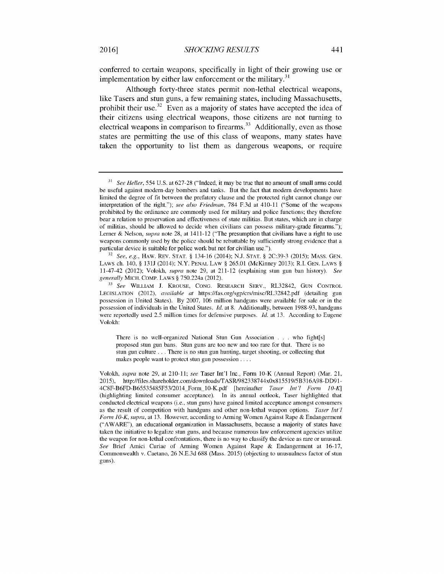conferred to certain weapons, specifically in light of their growing use or implementation by either law enforcement or the military.<sup>31</sup>

Although forty-three states permit non-lethal electrical weapons, like Tasers and stun guns, a few remaining states, including Massachusetts, prohibit their use.<sup>32</sup> Even as a majority of states have accepted the idea of their citizens using electrical weapons, those citizens are not turning to electrical weapons in comparison to firearms. $33$  Additionally, even as those states are permitting the use of this class of weapons, many states have taken the opportunity to list them as dangerous weapons, or require

There is no well-organized National Stun Gun Association . . . who fight[s] proposed stun gun bans. Stun guns are too new and too rare for that. There is no stun gun culture ... There is no stun gun hunting, target shooting, or collecting that makes people want to protect stun gun possession ....

<sup>&</sup>lt;sup>31</sup> See Heller, 554 U.S. at 627-28 ("Indeed, it may be true that no amount of small arms could be useful against modern-day bombers and tanks. But the fact that modern developments have limited the degree of fit between the prefatory clause and the protected right cannot change our interpretation of the right."); *see also Friedman,* 784 F.3d at 410-11 ("Some of the weapons prohibited by the ordinance are commonly used for military and police functions; they therefore bear a relation to preservation and effectiveness of state militias. But states, which are in charge of militias, should be allowed to decide when civilians can possess military-grade firearms."); Lerner & Nelson, *supra* note 28, at 1411-12 ("The presumption that civilians have a right to use weapons commonly used by the police should be rebuttable by sufficiently strong evidence that a particular device is suitable for police work but not for civilian use.").

<sup>32</sup>*See, e.g.,* HAW. REV. STAT. § 134-16 (2014); N.J. STAT. § 2C:39-3 (2015); MASS. GEN. LAWS ch. 140, § 131J (2014); N.Y. PENAL LAW § 265.01 (McKinney 2013); R.I. GEN. LAWS § 11-47-42 (2012); Volokh, *supra* note 29, at 211-12 (explaining stun gun ban history). *See generally* MICH. COMP. LAWS § 750.224a (2012).

**<sup>33</sup>***See* WILLIAM J. KROUSE, CONG. RESEARCH SERV., RL32842, GUN CONTROL LEGISLATION (2012), *available at* https://fas.org/sgp/crs/misc/RL32842.pdf (detailing gun possession in United States). By 2007, 106 million handguns were available for sale or in the possession of individuals in the United States. *Id.* at 8. Additionally, between 1988-93, handguns were reportedly used 2.5 million times for defensive purposes. *Id.* at 13. According to Eugene Volokh:

Volokh, *supra* note 29, at 210-11; *see* Taser Int'l Inc., Form 10-K (Annual Report) (Mar. 21, 2015), http://files.shareholder.com/downloads/TASR/982338744x0x815519/5B316A98-DD91- 4C8F-B6FD-B65535485F53/2014 Form 10-K.pdf [hereinafter *Taser Int'l Form 10-K]* (highlighting limited consumer acceptance). In its annual outlook, Taser highlighted that conducted electrical weapons (i.e., stun guns) have gained limited acceptance amongst consumers as the result of competition with handguns and other non-lethal weapon options. *Taser Int'l Form 10-K, supra, at 13. However, according to Arming Women Against Rape & Endangerment* ("AWARE"), an educational organization in Massachusetts, because a majority of states have taken the initiative to legalize stun guns, and because numerous law enforcement agencies utilize the weapon for non-lethal confrontations, there is no way to classify the device as rare or unusual. *See* Brief Amici Curiae of Arming Women Against Rape & Endangerment at 16-17, Commonwealth v. Caetano, 26 N.E.3d 688 (Mass. 2015) (objecting to unusualness factor of stun guns).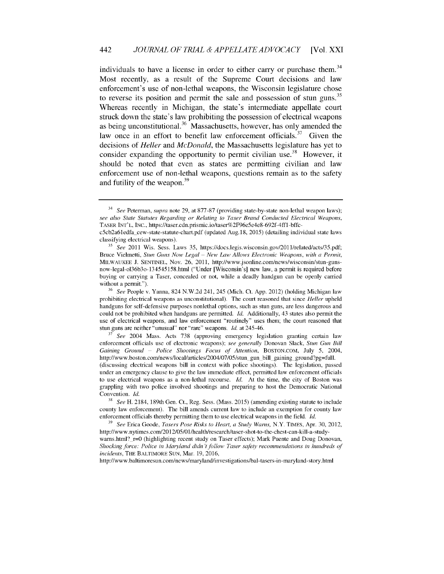individuals to have a license in order to either carry or purchase them.<sup>34</sup> Most recently, as a result of the Supreme Court decisions and law enforcement's use of non-lethal weapons, the Wisconsin legislature chose to reverse its position and permit the sale and possession of stun guns.<sup>35</sup> Whereas recently in Michigan, the state's intermediate appellate court struck down the state's law prohibiting the possession of electrical weapons as being unconstitutional.<sup>36</sup> Massachusetts, however, has only amended the law once in an effort to benefit law enforcement officials.<sup>37</sup> Given the decisions of *Heller* and *McDonald,* the Massachusetts legislature has yet to consider expanding the opportunity to permit civilian use.<sup>38</sup> However, it should be noted that even as states are permitting civilian and law enforcement use of non-lethal weapons, questions remain as to the safety and futility of the weapon. $39$ 

**<sup>37</sup>***See* 2004 Mass. Acts 738 (approving emergency legislation granting certain law enforcement officials use of electronic weapons); *see generally* Donovan Slack, *Stun Gun Bill* Gaining Ground - Police Shootings Focus of Attention, BOSTON.COM, July 5, 2004, http://www.boston.com/news/local/articles/2004/07/05/stun\_gun\_bill\_gaining\_ground?pg=full. (discussing electrical weapons bill in context with police shootings). The legislation, passed under an emergency clause to give the law immediate effect, permitted law enforcement officials

http://www.baltimoresun.com/news/maryland/investigations/bal-tasers-in-maryland- story.html

*<sup>34</sup> See* Peterman, *supra* note 29, at 877-87 (providing state-by-state non-lethal weapon laws); *see also State Statutes Regarding or Relating to Taser Brand Conducted Electrical Weapons,* TASER INT'L, INC., https://taser.cdn.prismic.io/taser%2F96e5e4e8-692f-4ffl-bffc-

c5cb2a6ledfa cew-state-statute-chart.pdf (updated Aug.18, 2015) (detailing individual state laws classifying electrical weapons).

**<sup>35</sup>** *See* 2011 Wis. Sess. Laws 35, https://docs.legis.wisconsin.gov/2011/related/acts/35.pdf; Bruce Vielmetti, *Stun Guns Now Legal - New Law Allows Electronic Weapons, with a Permit,* MILWAUKEE J. SENTINEL, Nov. 26, 2011, http://www.jsonline.com/news/wisconsin/stun-gunsnow-legal-ol36b3o-134545158.html ("Under [Wisconsin's] new law, a permit is required before buying or carrying a Taser, concealed or not, while a deadly handgun can be openly carried without a permit.").

**<sup>36</sup>***See* People v. Yanna, 824 N.W.2d 241, 245 (Mich. Ct. App. 2012) (holding Michigan law prohibiting electrical weapons as unconstitutional). The court reasoned that since *Heller* upheld handguns for self-defensive purposes nonlethal options, such as stun guns, are less dangerous and could not be prohibited when handguns are permitted. *Id.* Additionally, 43 states also permit the use of electrical weapons, and law enforcement "routinely" uses them; the court reasoned that stun guns are neither "unusual" nor "rare" weapons. *Id.* at 245-46.

to use electrical weapons as a non-lethal recourse. *ld.* At the time, the city of Boston was grappling with two police involved shootings and preparing to host the Democratic National Convention. *ld.*

**<sup>38</sup>***See* H. 2184, 189th Gen. Ct., Reg. Sess. (Mass. 2015) (amending existing statute to include county law enforcement). The bill amends current law to include an exemption for county law enforcement officials thereby permitting them to use electrical weapons in the field. *Id.*

**<sup>39</sup>***See* Erica Goode, *Tasers Pose Risks to Heart, a Study Warns,* N.Y. TiMES, Apr. 30, 2012, http://www.nytimes.com/2012/05/01/health/research/taser-shot-to-the-chest-can-kill-a-studywarns.html? r=0 (highlighting recent study on Taser effects); Mark Puente and Doug Donovan, Shocking force: Police in Maryland didn't follow Taser safety recommendations in hundreds of *incidents,* THE BALTIMORE SUN, Mar. 19, 2016,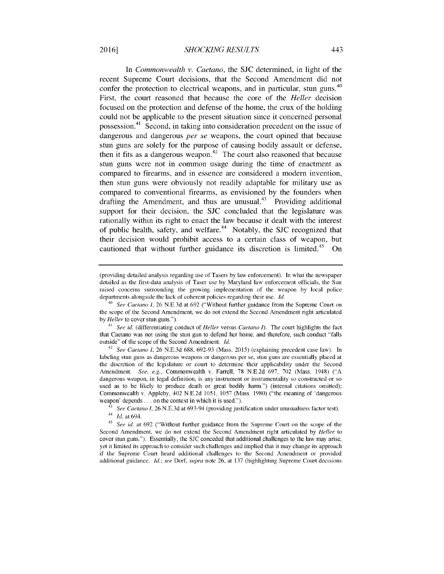In *Commonwealth v. Caetano,* the SJC determined, in light of the recent Supreme Court decisions, that the Second Amendment did not confer the protection to electrical weapons, and in particular, stun guns.<sup>40</sup> First, the court reasoned that because the core of the *Heller* decision focused on the protection and defense of the home, the crux of the holding could not be applicable to the present situation since it concerned personal possession.<sup>41</sup> Second, in taking into consideration precedent on the issue of dangerous and dangerous *per se* weapons, the court opined that because stun guns are solely for the purpose of causing bodily assault or defense, then it fits as a dangerous weapon.<sup>42</sup> The court also reasoned that because stun guns were not in common usage during the time of enactment as compared to firearms, and in essence are considered a modern invention, then stun guns were obviously not readily adaptable for military use as compared to conventional firearms, as envisioned by the founders when drafting the Amendment, and thus are unusual. $43$  Providing additional support for their decision, the SJC concluded that the legislature was rationally within its right to enact the law because it dealt with the interest of public health, safety, and welfare.<sup>44</sup> Notably, the SJC recognized that their decision would prohibit access to a certain class of weapon, but cautioned that without further guidance its discretion is limited.<sup>45</sup> On

<sup>(</sup>providing detailed analysis regarding use of Tasers by law enforcement). In what the newspaper detailed as the first-data analysis of Taser use by Maryland law enforcement officials, the Sun raised concerns surrounding the growing implementation of the weapon by local police departments alongside the lack of coherent policies regarding their use. *Id.*

<sup>40</sup>*See Caetano 1,* 26 N.E.3d at 692 ("Without further guidance from the Supreme Court on the scope of the Second Amendment, we do not extend the Second Amendment right articulated by *Heller* to cover stun guns.").

<sup>41</sup>*See id.* (differentiating conduct of *Heller* versus *Caetano I).* The court highlights the fact that Caetano was not using the stun gun to defend her home, and therefore, such conduct "falls outside" of the scope of the Second Amendment. Id.

<sup>42</sup>*See Caetano 1,* 26 N.E.3d 688, 692-93 (Mass. 2015) (explaining precedent case law). In labeling stun guns as dangerous weapons or dangerous per se, stun guns are essentially placed at the discretion of the legislature or court to determine their applicability under the Second Amendment. *See, e.g.,* Commonwealth v. Farrell, 78 N.E.2d 697, 702 (Mass. 1948) ("A dangerous weapon, in legal definition, is any instrument or instrumentality so constructed or so used as to be likely to produce death or great bodily harm.") (internal citations omitted); Commonwealth v. Appleby, 402 N.E.2d 1051, 1057 (Mass. 1980) ("the meaning of 'dangerous weapon' depends **...** on the context in which it is used.").

<sup>43</sup>*See Caetano 1,* 26 N.E.3d at 693-94 (providing justification under unusualness factor test).  $44$  *Id.* at 694.

<sup>45</sup>*See* id. at 692 ("Without further guidance from the Supreme Court on the scope of the Second Amendment, we do not extend the Second Amendment right articulated by *Heller* to cover stun guns."). Essentially, the SJC conceded that additional challenges to the law may arise, yet it limited its approach to consider such challenges and implied that it may change its approach if the Supreme Court heard additional challenges to the Second Amendment or provided additional guidance. *Id.; see* Dorf, *supra* note 26, at 137 (highlighting Supreme Court decisions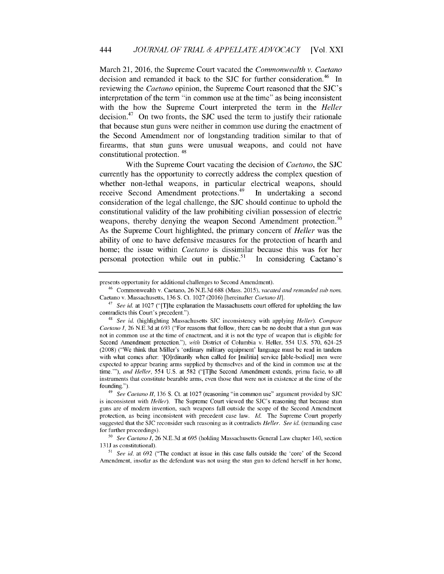March 21, 2016, the Supreme Court vacated the *Commonwealth v. Caetano* decision and remanded it back to the SJC for further consideration.<sup>46</sup> In reviewing the *Caetano* opinion, the Supreme Court reasoned that the SJC's interpretation of the term "in common use at the time" as being inconsistent with the how the Supreme Court interpreted the term in the *Heller* decision. $17$  On two fronts, the SJC used the term to justify their rationale that because stun guns were neither in common use during the enactment of the Second Amendment nor of longstanding tradition similar to that of firearms, that stun guns were unusual weapons, and could not have constitutional protection. **48**

With the Supreme Court vacating the decision of *Caetano,* the SJC currently has the opportunity to correctly address the complex question of whether non-lethal weapons, in particular electrical weapons, should receive Second Amendment protections.<sup>49</sup> In undertaking a second consideration of the legal challenge, the SJC should continue to uphold the constitutional validity of the law prohibiting civilian possession of electric weapons, thereby denying the weapon Second Amendment protection.<sup>50</sup> As the Supreme Court highlighted, the primary concern of *Heller* was the ability of one to have defensive measures for the protection of hearth and home; the issue within *Caetano* is dissimilar because this was for her personal protection while out in public. $51$  In considering Caetano's

presents opportunity for additional challenges to Second Amendment).

<sup>46</sup> Commonwealth v. Caetano, 26 N.E.3d 688 (Mass. 2015), *vacated and remanded sub nor.* Caetano v. Massachusetts, 136 S. Ct. 1027 (2016) [hereinafter *Caetano Il].*

<sup>&</sup>lt;sup>47</sup> *See id.* at 1027 ("IThe explanation the Massachusetts court offered for upholding the law contradicts this Court's precedent.").

<sup>48</sup> *See id.* (highlighting Massachusetts SJC inconsistency with applying *Heller). Compare Caetano 1,* 26 N.E.3d at 693 ("For reasons that follow, there can be no doubt that a stun gun was not in common use at the time of enactment, and it is not the type of weapon that is eligible for Second Amendment protection."), *with* District of Columbia v. Heller, 554 U.S. 570, 624-25 (2008) ("We think that Miller's 'ordinary military equipment' language must be read in tandem with what comes after: '[O]rdinarily when called for [militia] service [able-bodied] men were expected to appear bearing arms supplied by themselves and of the kind in common use at the time.""), *and Heller*, 554 U.S. at 582 ("[T]he Second Amendment extends, prima facie, to all instruments that constitute bearable arms, even those that were not in existence at the time of the founding.").

<sup>49</sup> *See Caetano* H, 136 **S.** Ct. at 1027 (reasoning "in common use" argument provided by SJC is inconsistent with *Heller).* The Supreme Court viewed the SJC's reasoning that because stun guns are of modern invention, such weapons fall outside the scope of the Second Amendment protection, as being inconsistent with precedent case law. ld. The Supreme Court properly suggested that the SJC reconsider such reasoning as it contradicts *Heller. See id.* (remanding case for further proceedings).

**<sup>50</sup>** *See Caetano 1,* 26 N.E.3d at 695 (holding Massachusetts General Law chapter 140, section 131J as constitutional).

**<sup>51</sup>** *See id.* at 692 ("The conduct at issue in this case falls outside the 'core' of the Second Amendment, insofar as the defendant was not using the stun gun to defend herself in her home,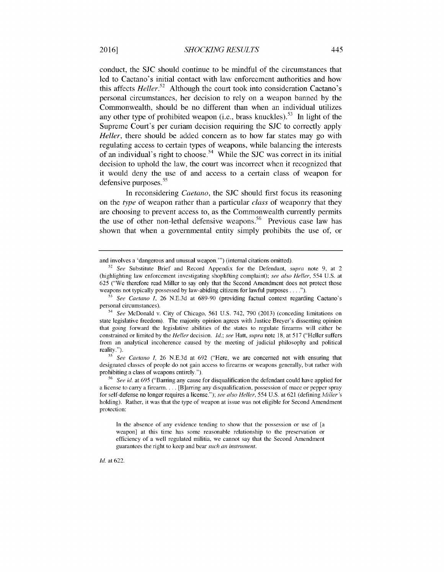conduct, the SJC should continue to be mindful of the circumstances that led to Caetano's initial contact with law enforcement authorities and how this affects *Heller.<sup>5</sup>2* Although the court took into consideration Caetano's personal circumstances, her decision to rely on a weapon banned by the Commonwealth, should be no different than when an individual utilizes any other type of prohibited weapon (i.e., brass knuckles).<sup>53</sup> In light of the Supreme Court's per curiam decision requiring the **SIC** to correctly apply *Heller,* there should be added concern as to how far states may go with regulating access to certain types of weapons, while balancing the interests of an individual's right to choose.<sup>54</sup> While the SJC was correct in its initial decision to uphold the law, the court was incorrect when it recognized that it would deny the use of and access to a certain class of weapon for defensive purposes **.**

In reconsidering *Caetano,* the SJC should first focus its reasoning on the *type* of weapon rather than a particular *class* of weaponry that they are choosing to prevent access to, as the Commonwealth currently permits the use of other non-lethal defensive weapons.<sup>56</sup> Previous case law has shown that when a governmental entity simply prohibits the use of, or

In the absence of any evidence tending to show that the possession or use of [a weapon] at this time has some reasonable relationship to the preservation or efficiency of a well regulated militia, we cannot say that the Second Amendment guarantees the right to keep and bear *such an instrument.*

*Id.* at 622.

445

and involves a 'dangerous and unusual weapon."') (internal citations omitted).

**<sup>52</sup>***See* Substitute Brief and Record Appendix for the Defendant, *supra* note 9, at 2 (highlighting law enforcement investigating shoplifting complaint); *see also Heller,* 554 U.S. at 625 ("We therefore read Miller to say only that the Second Amendment does not protect those weapons not typically possessed by law-abiding citizens for lawful purposes **.... ").**

**<sup>53</sup>***See Caetano 1,* 26 N.E.3d at 689-90 (providing factual context regarding Caetano's personal circumstances).

*<sup>54</sup> See* McDonald v. City of Chicago, 561 U.S. 742, 790 (2013) (conceding limitations on state legislative freedom). The majority opinion agrees with Justice Breyer's dissenting opinion that going forward the legislative abilities of the states to regulate firearms will either be constrained or limited by the *Heller* decision. *Id.; see* Hatt, *supra* note 18, at 517 ("Heller suffers from an analytical incoherence caused by the meeting of judicial philosophy and political reality.").

**<sup>55</sup>***See Caetano 1,* **26** N.E.3d at **692** ("Here, we are concerned not with ensuring that designated classes of people do not gain access to firearms or weapons generally, but rather with prohibiting a class of weapons entirely.").

**<sup>56</sup>***See id.* at 695 ("Barring any cause for disqualification the defendant could have applied for a license to carry a firearm.... [B]arring any disqualification, possession of mace or pepper spray for self-defense no longer requires a license."); *see also Heller,* 554 U.S. at 621 (defining *Miller's* holding). Rather, it was that the type of weapon at issue was not eligible for Second Amendment protection: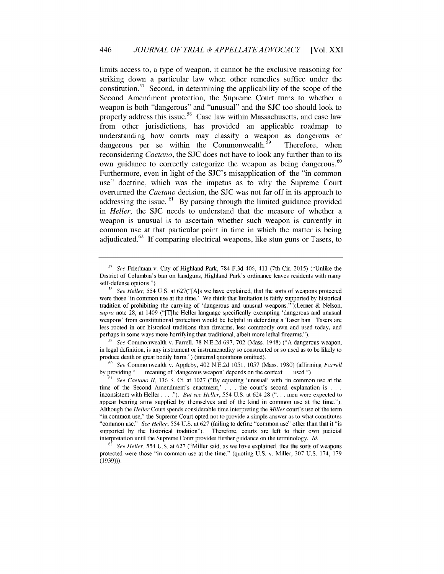limits access to, a type of weapon, it cannot be the exclusive reasoning for striking down a particular law when other remedies suffice under the constitution.<sup>57</sup> Second, in determining the applicability of the scope of the Second Amendment protection, the Supreme Court turns to whether a weapon is both "dangerous" and "unusual" and the **SIC** too should look to properly address this issue.<sup>58</sup> Case law within Massachusetts, and case law from other jurisdictions, has provided an applicable roadmap to understanding how courts may classify a weapon as dangerous or dangerous per se within the Commonwealth. $59$  Therefore, when reconsidering *Caetano,* the SJC does not have to look any further than to its own guidance to correctly categorize the weapon as being dangerous.<sup>60</sup> Furthermore, even in light of the SJC's misapplication of the "in common use" doctrine, which was the impetus as to why the Supreme Court overturned the *Caetano* decision, the SJC was not far off in its approach to addressing the issue.  $61$  By parsing through the limited guidance provided in *Heller,* the SJC needs to understand that the measure of whether a weapon is unusual is to ascertain whether such weapon is currently in common use at that particular point in time in which the matter is being adjudicated.<sup>62</sup> If comparing electrical weapons, like stun guns or Tasers, to

*<sup>59</sup>See* Commonwealth v. Farrell, 78 N.E.2d 697, 702 (Mass. 1948) ("A dangerous weapon, in legal definition, is any instrument or instrumentality so constructed or so used as to be likely to produce death or great bodily harm.") (internal quotations omitted).

**<sup>60</sup>***See* Commonwealth v. Appleby, 402 N.E.2d 1051, 1057 (Mass. 1980) (affirming *Farrell* by providing "... meaning of 'dangerous weapon' depends on the context... used.").

**<sup>61</sup>***See Caetano H,* 136 **S.** Ct. at 1027 ("By equating 'unusual' with 'in common use at the time of the Second Amendment's enactment,' . . . the court's second explanation is **. . .** inconsistent with Heller *.... "). But see Heller,* 554 U.S. at 624-28 **(". . .** men were expected to appear bearing anus supplied by themselves and of the kind in common use at the time."). Although the *Heller* Court spends considerable time interpreting the *Miller* court's use of the term "in common use," the Supreme Court opted not to provide a simple answer as to what constitutes "common use." *See Heller,* 554 U.S. at 627 (failing to define "common use" other than that it "is supported by the historical tradition"). Therefore, courts are left to their own judicial interpretation until the Supreme Court provides further guidance on the terminology. *Id.*

**<sup>62</sup>***See Heller,* 554 U.S. at **627** ("Miller said, as we have explained, that the sorts of weapons protected were those "in common use at the time." (quoting U.S. v. Miller, 307 U.S. 174, 179 (1939))).

*<sup>17</sup> See* Friedman v. City of Highland Park, **784** F.3d 406, 411 (7th Cir. 2015) ("Unlike the District of Columbia's ban on handguns, Highland Park's ordinance leaves residents with many self-defense options.").

**<sup>58</sup>***See Heller,* 554 U.S. at 627("[A]s we have explained, that the sorts of weapons protected were those 'in common use at the time.' We think that limitation is fairly supported by historical tradition of prohibiting the carrying of 'dangerous and unusual weapons. "');Lerner & Nelson, *supra* note 28, at 1409 ("[T]he Heller language specifically exempting 'dangerous and unusual weapons' from constitutional protection would be helpful in defending a Taser ban. Tasers are less rooted in our historical traditions than firearms, less commonly own and used today, and perhaps in some ways more horrifying than traditional, albeit more lethal firearms.").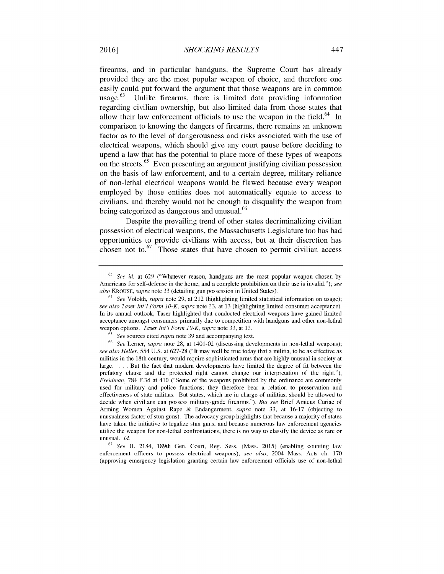firearms, and in particular handguns, the Supreme Court has already provided they are the most popular weapon of choice, and therefore one easily could put forward the argument that those weapons are in common usage. $^{63}$  Unlike firearms, there is limited data providing information regarding civilian ownership, but also limited data from those states that allow their law enforcement officials to use the weapon in the field.<sup>64</sup> In comparison to knowing the dangers of firearms, there remains an unknown factor as to the level of dangerousness and risks associated with the use of electrical weapons, which should give any court pause before deciding to upend a law that has the potential to place more of these types of weapons **<sup>65</sup>** on the streets. Even presenting an argument justifying civilian possession on the basis of law enforcement, and to a certain degree, military reliance of non-lethal electrical weapons would be flawed because every weapon employed by those entities does not automatically equate to access to civilians, and thereby would not be enough to disqualify the weapon from being categorized as dangerous and unusual.<sup>66</sup>

Despite the prevailing trend of other states decriminalizing civilian possession of electrical weapons, the Massachusetts Legislature too has had opportunities to provide civilians with access, but at their discretion has chosen not to. $67$  Those states that have chosen to permit civilian access

**<sup>63</sup>***See id.* at 629 ("Whatever reason, handguns are the most popular weapon chosen by Americans for self-defense in the home, and a complete prohibition on their use is invalid."); *see also* KROUSE, *supra* note 33 (detailing gun possession in United States).

<sup>64</sup>*See* Volokh, *supra* note 29, at 212 (highlighting limited statistical information on usage); *see also Taser Int'l Form I O-K, supra* note 33, at 13 (highlighting limited consumer acceptance). In its annual outlook, Taser highlighted that conducted electrical weapons have gained limited acceptance amongst consumers primarily due to competition with handguns and other non-lethal weapon options. *Taser Int'l Form 10-K, supra* note 33, at 13.

**<sup>65</sup>** *See* sources cited *supra* note 39 and accompanying text.

**<sup>66</sup>***See* Lerner, *supra* note 28, at 1401-02 (discussing developments in non-lethal weapons); *see also Heller,* 554 U.S. at 627-28 ("It may well be true today that a militia, to be as effective as militias in the 18th century, would require sophisticated arms that are highly unusual in society at large. . **.** . But the fact that modern developments have limited the degree of fit between the prefatory clause and the protected right cannot change our interpretation of the right."); *Freidman,* 784 F.3d at 410 ("Some of the weapons prohibited by the ordinance are commonly used for military and police functions; they therefore bear a relation to preservation and effectiveness of state militias. But states, which are in charge of militias, should be allowed to decide when civilians can possess military-grade firearms."). *But see* Brief Amicus Curiae of Arming Women Against Rape & Endangerment, *supra* note 33, at 16-17 (objecting to unusualness factor of stun guns). The advocacy group highlights that because a majority of states have taken the initiative to legalize stun guns, and because numerous law enforcement agencies utilize the weapon for non-lethal confrontations, there is no way to classify the device as rare or unusual. *Id.*

**<sup>67</sup>***See* H. 2184, 189th Gen. Court, Reg. Sess. (Mass. 2015) (enabling counting law enforcement officers to possess electrical weapons); *see also,* 2004 Mass. Acts ch. 170 (approving emergency legislation granting certain law enforcement officials use of non-lethal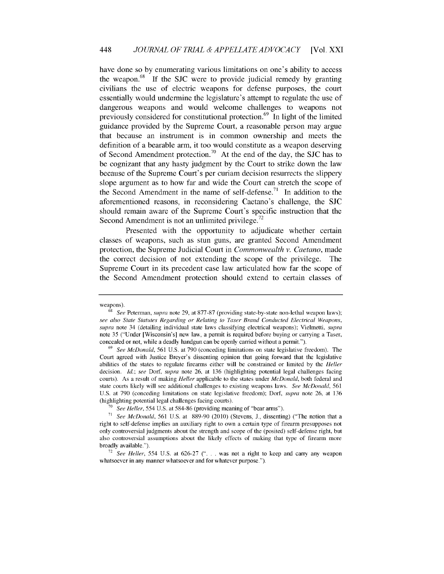have done so **by** enumerating various limitations on one's ability to access the weapon.68 **If** the **SJC** were to provide judicial remedy **by** granting civilians the use of electric weapons for defense purposes, the court essentially would undermine the legislature's attempt to regulate the use of dangerous weapons and would welcome challenges to weapons not previously considered for constitutional protection.<sup>69</sup> In light of the limited guidance provided **by** the Supreme Court, a reasonable person may argue that because an instrument is in common ownership and meets the definition of a bearable arm, it too would constitute as a weapon deserving of Second Amendment protection.70 At the end of the day, the **SJC** has to be cognizant that any hasty judgment **by** the Court to strike down the law because of the Supreme Court's per curiam decision resurrects the slippery slope argument as to how far and wide the Court can stretch the scope of the Second Amendment in the name of self-defense.<sup>71</sup> In addition to the aforementioned reasons, in reconsidering Caetano's challenge, the **SIC** should remain aware of the Supreme Court's specific instruction that the Second Amendment is not an unlimited privilege. **2**

Presented with the opportunity to adjudicate whether certain classes of weapons, such as stun guns, are granted Second Amendment protection, the Supreme Judicial Court in *Commonwealth v. Caetano,* made the correct decision of not extending the scope of the privilege. The Supreme Court in its precedent case law articulated how **far** the scope of the Second Amendment protection should extend to certain classes of

weapons).

**<sup>68</sup>** *See* Peterman, *supra* note **29,** at **877-87** (providing state-by-state non-lethal weapon laws); *see also State Statutes Regarding or Relating to Taser Brand Conducted Electrical Weapons, supra* note 34 (detailing individual state laws classifying electrical weapons); Vielmetti, *supra* note **35** ("Under [Wisconsin's] new law, a permit is required before buying or carrying a Taser, concealed or not, while a deadly handgun can **be** openly carried without a permit.").

**<sup>69</sup>***See McDonald,* **561 U.S.** at **790** (conceding limitations on state legislative freedom). The Court agreed with Justice Breyer's dissenting opinion that going forward that the legislative abilities of the states to regulate firearms either will be constrained or limited **by** the *Heller* decision. **Id.;** *see* Doff, *supra* note **26,** at **136** (highlighting potential legal challenges facing courts). As a result of making *Heller* applicable to the states under *McDonald,* both federal and state courts likely will see additional challenges to existing weapons laws. *See McDonald, 561* **U.S.** at **790** (conceding limitations on state legislative freedom); Dorf, *supra* note **26,** at **136** (highlighting potential legal challenges facing courts).

**<sup>70</sup>** *See Heller,* 554 **U.S.** at **584-86** (providing meaning of "bear arms").

**<sup>71</sup>** *See McDonald,* **561 U.S.** at **889-90** (2010) (Stevens, **J.,** dissenting) ("The notion that a right to self-defense implies an auxiliary right to own a certain type of firearm presupposes not only controversial judgments about the strength and scope of the (posited) self-defense right, but also controversial assumptions about the likely effects of making that type of firearm more broadly available.").

**<sup>72</sup>** *See Heller,* 554 **U.S.** at **626-27 ("...** was not a right to **keep** and carry any weapon whatsoever in any manner whatsoever and for whatever purpose.").